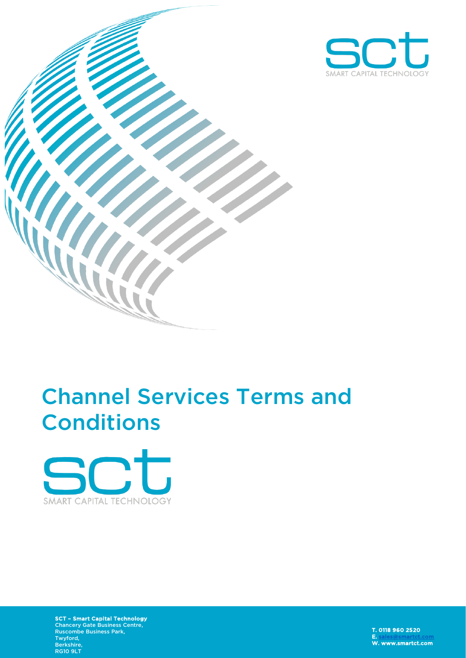



# Channel Services Terms and **Conditions**



SCT – Smart Capital Technology Chancery Gate Business Centre, Ruscombe Business Park, Twyford, Berkshire, RG10 9LT

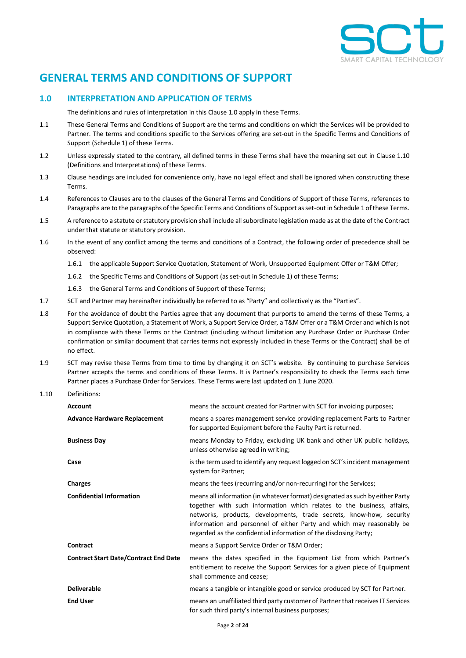

# **GENERAL TERMS AND CONDITIONS OF SUPPORT**

# <span id="page-1-0"></span>**1.0 INTERPRETATION AND APPLICATION OF TERMS**

The definitions and rules of interpretation in this Clause [1.0](#page-1-0) apply in these Terms.

- 1.1 These General Terms and Conditions of Support are the terms and conditions on which the Services will be provided to Partner. The terms and conditions specific to the Services offering are set-out in the Specific Terms and Conditions of Support (Schedule 1) of these Terms.
- 1.2 Unless expressly stated to the contrary, all defined terms in these Terms shall have the meaning set out in Claus[e 1.10](#page-1-1) (Definitions and Interpretations) of these Terms.
- 1.3 Clause headings are included for convenience only, have no legal effect and shall be ignored when constructing these Terms.
- 1.4 References to Clauses are to the clauses of the General Terms and Conditions of Support of these Terms, references to Paragraphs are to the paragraphs of the Specific Terms and Conditions of Support as set-out in Schedule 1 of these Terms.
- 1.5 A reference to a statute or statutory provision shall include all subordinate legislation made as at the date of the Contract under that statute or statutory provision.
- 1.6 In the event of any conflict among the terms and conditions of a Contract, the following order of precedence shall be observed:
	- 1.6.1 the applicable Support Service Quotation, Statement of Work, Unsupported Equipment Offer or T&M Offer;
	- 1.6.2 the Specific Terms and Conditions of Support (as set-out in Schedule 1) of these Terms;
	- 1.6.3 the General Terms and Conditions of Support of these Terms;
- 1.7 SCT and Partner may hereinafter individually be referred to as "Party" and collectively as the "Parties".
- 1.8 For the avoidance of doubt the Parties agree that any document that purports to amend the terms of these Terms, a Support Service Quotation, a Statement of Work, a Support Service Order, a T&M Offer or a T&M Order and which is not in compliance with these Terms or the Contract (including without limitation any Purchase Order or Purchase Order confirmation or similar document that carries terms not expressly included in these Terms or the Contract) shall be of no effect.
- 1.9 SCT may revise these Terms from time to time by changing it on SCT's website. By continuing to purchase Services Partner accepts the terms and conditions of these Terms. It is Partner's responsibility to check the Terms each time Partner places a Purchase Order for Services. These Terms were last updated on 1 June 2020.
- <span id="page-1-1"></span>1.10 Definitions:

| <b>Account</b>                               | means the account created for Partner with SCT for invoicing purposes;                                                                                                                                                                                                                                                                                                       |  |
|----------------------------------------------|------------------------------------------------------------------------------------------------------------------------------------------------------------------------------------------------------------------------------------------------------------------------------------------------------------------------------------------------------------------------------|--|
| <b>Advance Hardware Replacement</b>          | means a spares management service providing replacement Parts to Partner<br>for supported Equipment before the Faulty Part is returned.                                                                                                                                                                                                                                      |  |
| <b>Business Day</b>                          | means Monday to Friday, excluding UK bank and other UK public holidays,<br>unless otherwise agreed in writing;                                                                                                                                                                                                                                                               |  |
| Case                                         | is the term used to identify any request logged on SCT's incident management<br>system for Partner;                                                                                                                                                                                                                                                                          |  |
| <b>Charges</b>                               | means the fees (recurring and/or non-recurring) for the Services;                                                                                                                                                                                                                                                                                                            |  |
| <b>Confidential Information</b>              | means all information (in whatever format) designated as such by either Party<br>together with such information which relates to the business, affairs,<br>networks, products, developments, trade secrets, know-how, security<br>information and personnel of either Party and which may reasonably be<br>regarded as the confidential information of the disclosing Party; |  |
| Contract                                     | means a Support Service Order or T&M Order;                                                                                                                                                                                                                                                                                                                                  |  |
| <b>Contract Start Date/Contract End Date</b> | means the dates specified in the Equipment List from which Partner's<br>entitlement to receive the Support Services for a given piece of Equipment<br>shall commence and cease;                                                                                                                                                                                              |  |
| <b>Deliverable</b>                           | means a tangible or intangible good or service produced by SCT for Partner.                                                                                                                                                                                                                                                                                                  |  |
| <b>End User</b>                              | means an unaffiliated third party customer of Partner that receives IT Services<br>for such third party's internal business purposes;                                                                                                                                                                                                                                        |  |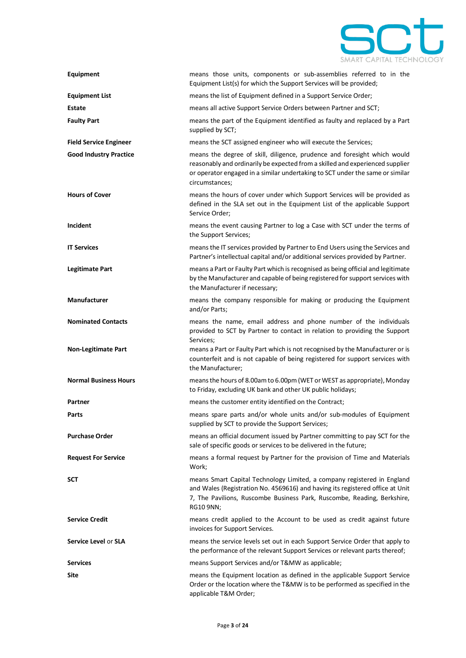

| Equipment                     | means those units, components or sub-assemblies referred to in the<br>Equipment List(s) for which the Support Services will be provided;                                                                                                                     |
|-------------------------------|--------------------------------------------------------------------------------------------------------------------------------------------------------------------------------------------------------------------------------------------------------------|
| <b>Equipment List</b>         | means the list of Equipment defined in a Support Service Order;                                                                                                                                                                                              |
| Estate                        | means all active Support Service Orders between Partner and SCT;                                                                                                                                                                                             |
| <b>Faulty Part</b>            | means the part of the Equipment identified as faulty and replaced by a Part<br>supplied by SCT;                                                                                                                                                              |
| <b>Field Service Engineer</b> | means the SCT assigned engineer who will execute the Services;                                                                                                                                                                                               |
| <b>Good Industry Practice</b> | means the degree of skill, diligence, prudence and foresight which would<br>reasonably and ordinarily be expected from a skilled and experienced supplier<br>or operator engaged in a similar undertaking to SCT under the same or similar<br>circumstances; |
| <b>Hours of Cover</b>         | means the hours of cover under which Support Services will be provided as<br>defined in the SLA set out in the Equipment List of the applicable Support<br>Service Order;                                                                                    |
| Incident                      | means the event causing Partner to log a Case with SCT under the terms of<br>the Support Services;                                                                                                                                                           |
| <b>IT Services</b>            | means the IT services provided by Partner to End Users using the Services and<br>Partner's intellectual capital and/or additional services provided by Partner.                                                                                              |
| <b>Legitimate Part</b>        | means a Part or Faulty Part which is recognised as being official and legitimate<br>by the Manufacturer and capable of being registered for support services with<br>the Manufacturer if necessary;                                                          |
| Manufacturer                  | means the company responsible for making or producing the Equipment<br>and/or Parts;                                                                                                                                                                         |
| <b>Nominated Contacts</b>     | means the name, email address and phone number of the individuals<br>provided to SCT by Partner to contact in relation to providing the Support<br>Services;                                                                                                 |
| <b>Non-Legitimate Part</b>    | means a Part or Faulty Part which is not recognised by the Manufacturer or is<br>counterfeit and is not capable of being registered for support services with<br>the Manufacturer;                                                                           |
| <b>Normal Business Hours</b>  | means the hours of 8.00am to 6.00pm (WET or WEST as appropriate), Monday<br>to Friday, excluding UK bank and other UK public holidays;                                                                                                                       |
| Partner                       | means the customer entity identified on the Contract;                                                                                                                                                                                                        |
| Parts                         | means spare parts and/or whole units and/or sub-modules of Equipment<br>supplied by SCT to provide the Support Services;                                                                                                                                     |
| <b>Purchase Order</b>         | means an official document issued by Partner committing to pay SCT for the<br>sale of specific goods or services to be delivered in the future;                                                                                                              |
| <b>Request For Service</b>    | means a formal request by Partner for the provision of Time and Materials<br>Work;                                                                                                                                                                           |
| <b>SCT</b>                    | means Smart Capital Technology Limited, a company registered in England<br>and Wales (Registration No. 4569616) and having its registered office at Unit<br>7, The Pavilions, Ruscombe Business Park, Ruscombe, Reading, Berkshire,<br>RG10 9NN;             |
| <b>Service Credit</b>         | means credit applied to the Account to be used as credit against future<br>invoices for Support Services.                                                                                                                                                    |
| Service Level or SLA          | means the service levels set out in each Support Service Order that apply to<br>the performance of the relevant Support Services or relevant parts thereof;                                                                                                  |
| <b>Services</b>               | means Support Services and/or T&MW as applicable;                                                                                                                                                                                                            |
| Site                          | means the Equipment location as defined in the applicable Support Service<br>Order or the location where the T&MW is to be performed as specified in the<br>applicable T&M Order;                                                                            |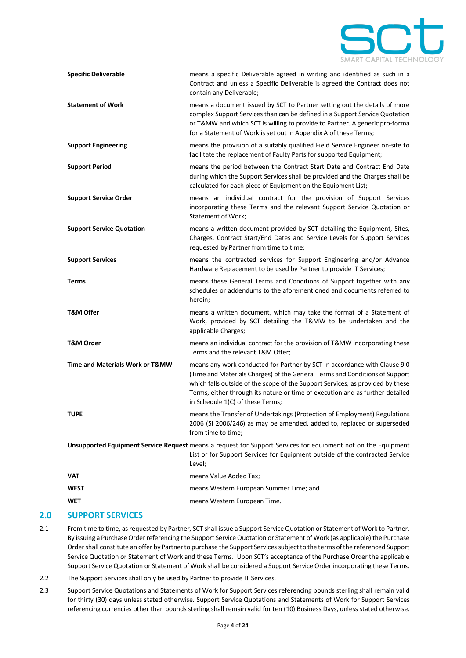

| <b>Specific Deliverable</b>      | means a specific Deliverable agreed in writing and identified as such in a<br>Contract and unless a Specific Deliverable is agreed the Contract does not<br>contain any Deliverable;                                                                                                                                                                            |
|----------------------------------|-----------------------------------------------------------------------------------------------------------------------------------------------------------------------------------------------------------------------------------------------------------------------------------------------------------------------------------------------------------------|
| <b>Statement of Work</b>         | means a document issued by SCT to Partner setting out the details of more<br>complex Support Services than can be defined in a Support Service Quotation<br>or T&MW and which SCT is willing to provide to Partner. A generic pro-forma<br>for a Statement of Work is set out in Appendix A of these Terms;                                                     |
| <b>Support Engineering</b>       | means the provision of a suitably qualified Field Service Engineer on-site to<br>facilitate the replacement of Faulty Parts for supported Equipment;                                                                                                                                                                                                            |
| <b>Support Period</b>            | means the period between the Contract Start Date and Contract End Date<br>during which the Support Services shall be provided and the Charges shall be<br>calculated for each piece of Equipment on the Equipment List;                                                                                                                                         |
| <b>Support Service Order</b>     | means an individual contract for the provision of Support Services<br>incorporating these Terms and the relevant Support Service Quotation or<br>Statement of Work;                                                                                                                                                                                             |
| <b>Support Service Quotation</b> | means a written document provided by SCT detailing the Equipment, Sites,<br>Charges, Contract Start/End Dates and Service Levels for Support Services<br>requested by Partner from time to time;                                                                                                                                                                |
| <b>Support Services</b>          | means the contracted services for Support Engineering and/or Advance<br>Hardware Replacement to be used by Partner to provide IT Services;                                                                                                                                                                                                                      |
| <b>Terms</b>                     | means these General Terms and Conditions of Support together with any<br>schedules or addendums to the aforementioned and documents referred to<br>herein;                                                                                                                                                                                                      |
| <b>T&amp;M Offer</b>             | means a written document, which may take the format of a Statement of<br>Work, provided by SCT detailing the T&MW to be undertaken and the<br>applicable Charges;                                                                                                                                                                                               |
| <b>T&amp;M Order</b>             | means an individual contract for the provision of T&MW incorporating these<br>Terms and the relevant T&M Offer;                                                                                                                                                                                                                                                 |
| Time and Materials Work or T&MW  | means any work conducted for Partner by SCT in accordance with Clause 9.0<br>(Time and Materials Charges) of the General Terms and Conditions of Support<br>which falls outside of the scope of the Support Services, as provided by these<br>Terms, either through its nature or time of execution and as further detailed<br>in Schedule 1(C) of these Terms; |
| <b>TUPE</b>                      | means the Transfer of Undertakings (Protection of Employment) Regulations<br>2006 (SI 2006/246) as may be amended, added to, replaced or superseded<br>from time to time;                                                                                                                                                                                       |
|                                  | Unsupported Equipment Service Request means a request for Support Services for equipment not on the Equipment<br>List or for Support Services for Equipment outside of the contracted Service<br>Level;                                                                                                                                                         |
| VAT                              | means Value Added Tax;                                                                                                                                                                                                                                                                                                                                          |
| <b>WEST</b>                      | means Western European Summer Time; and                                                                                                                                                                                                                                                                                                                         |
| <b>WET</b>                       | means Western European Time.                                                                                                                                                                                                                                                                                                                                    |

# **2.0 SUPPORT SERVICES**

- <span id="page-3-0"></span>2.1 From time to time, as requested by Partner, SCT shall issue a Support Service Quotation or Statement of Work to Partner. By issuing a Purchase Order referencing the Support Service Quotation or Statement of Work (as applicable) the Purchase Order shall constitute an offer by Partner to purchase the Support Services subject to the terms of the referenced Support Service Quotation or Statement of Work and these Terms. Upon SCT's acceptance of the Purchase Order the applicable Support Service Quotation or Statement of Work shall be considered a Support Service Order incorporating these Terms.
- 2.2 The Support Services shall only be used by Partner to provide IT Services.
- 2.3 Support Service Quotations and Statements of Work for Support Services referencing pounds sterling shall remain valid for thirty (30) days unless stated otherwise. Support Service Quotations and Statements of Work for Support Services referencing currencies other than pounds sterling shall remain valid for ten (10) Business Days, unless stated otherwise.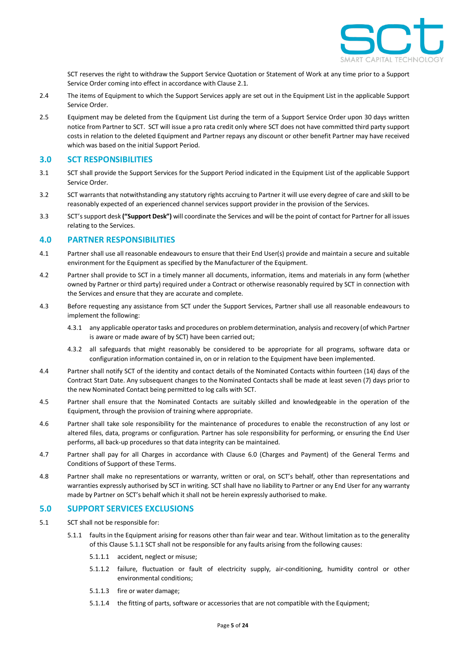

SCT reserves the right to withdraw the Support Service Quotation or Statement of Work at any time prior to a Support Service Order coming into effect in accordance with Claus[e 2.1.](#page-3-0)

- 2.4 The items of Equipment to which the Support Services apply are set out in the Equipment List in the applicable Support Service Order.
- 2.5 Equipment may be deleted from the Equipment List during the term of a Support Service Order upon 30 days written notice from Partner to SCT. SCT will issue a pro rata credit only where SCT does not have committed third party support costs in relation to the deleted Equipment and Partner repays any discount or other benefit Partner may have received which was based on the initial Support Period.

#### **3.0 SCT RESPONSIBILITIES**

- 3.1 SCT shall provide the Support Services for the Support Period indicated in the Equipment List of the applicable Support Service Order.
- 3.2 SCT warrants that notwithstanding any statutory rights accruing to Partner it will use every degree of care and skill to be reasonably expected of an experienced channel services support provider in the provision of the Services.
- 3.3 SCT's support desk **("Support Desk")** will coordinate the Services and will be the point of contact for Partner for all issues relating to the Services.

## **4.0 PARTNER RESPONSIBILITIES**

- 4.1 Partner shall use all reasonable endeavours to ensure that their End User(s) provide and maintain a secure and suitable environment for the Equipment as specified by the Manufacturer of the Equipment.
- 4.2 Partner shall provide to SCT in a timely manner all documents, information, items and materials in any form (whether owned by Partner or third party) required under a Contract or otherwise reasonably required by SCT in connection with the Services and ensure that they are accurate and complete.
- 4.3 Before requesting any assistance from SCT under the Support Services, Partner shall use all reasonable endeavours to implement the following:
	- 4.3.1 any applicable operator tasks and procedures on problem determination, analysis and recovery (of which Partner is aware or made aware of by SCT) have been carried out;
	- 4.3.2 all safeguards that might reasonably be considered to be appropriate for all programs, software data or configuration information contained in, on or in relation to the Equipment have been implemented.
- 4.4 Partner shall notify SCT of the identity and contact details of the Nominated Contacts within fourteen (14) days of the Contract Start Date. Any subsequent changes to the Nominated Contacts shall be made at least seven (7) days prior to the new Nominated Contact being permitted to log calls with SCT.
- 4.5 Partner shall ensure that the Nominated Contacts are suitably skilled and knowledgeable in the operation of the Equipment, through the provision of training where appropriate.
- 4.6 Partner shall take sole responsibility for the maintenance of procedures to enable the reconstruction of any lost or altered files, data, programs or configuration. Partner has sole responsibility for performing, or ensuring the End User performs, all back-up procedures so that data integrity can be maintained.
- 4.7 Partner shall pay for all Charges in accordance with Clause [6.0](#page-5-0) (Charges and Payment) of the General Terms and Conditions of Support of these Terms.
- 4.8 Partner shall make no representations or warranty, written or oral, on SCT's behalf, other than representations and warranties expressly authorised by SCT in writing. SCT shall have no liability to Partner or any End User for any warranty made by Partner on SCT's behalf which it shall not be herein expressly authorised to make.

# **5.0 SUPPORT SERVICES EXCLUSIONS**

- <span id="page-4-0"></span>5.1 SCT shall not be responsible for:
	- 5.1.1 faults in the Equipment arising for reasons other than fair wear and tear. Without limitation as to the generality of this Clause [5.1.1](#page-4-0) SCT shall not be responsible for any faults arising from the following causes:
		- 5.1.1.1 accident, neglect or misuse;
		- 5.1.1.2 failure, fluctuation or fault of electricity supply, air-conditioning, humidity control or other environmental conditions;
		- 5.1.1.3 fire or water damage;
		- 5.1.1.4 the fitting of parts, software or accessories that are not compatible with the Equipment;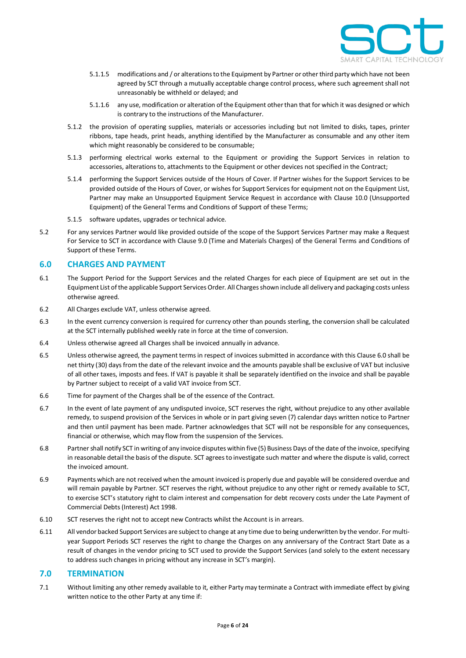

- 5.1.1.5 modifications and / or alterations to the Equipment by Partner or other third party which have not been agreed by SCT through a mutually acceptable change control process, where such agreement shall not unreasonably be withheld or delayed; and
- 5.1.1.6 any use, modification or alteration of the Equipment other than that for which it was designed or which is contrary to the instructions of the Manufacturer.
- 5.1.2 the provision of operating supplies, materials or accessories including but not limited to disks, tapes, printer ribbons, tape heads, print heads, anything identified by the Manufacturer as consumable and any other item which might reasonably be considered to be consumable;
- 5.1.3 performing electrical works external to the Equipment or providing the Support Services in relation to accessories, alterations to, attachments to the Equipment or other devices not specified in the Contract;
- 5.1.4 performing the Support Services outside of the Hours of Cover. If Partner wishes for the Support Services to be provided outside of the Hours of Cover, or wishes for Support Services for equipment not on the Equipment List, Partner may make an Unsupported Equipment Service Request in accordance with Clause [10.0](#page-6-0) (Unsupported Equipment) of the General Terms and Conditions of Support of these Terms;
- 5.1.5 software updates, upgrades or technical advice.
- 5.2 For any services Partner would like provided outside of the scope of the Support Services Partner may make a Request For Service to SCT in accordance with Claus[e 9.0](#page-6-1) (Time and Materials Charges) of the General Terms and Conditions of Support of these Terms.

#### <span id="page-5-0"></span>**6.0 CHARGES AND PAYMENT**

- 6.1 The Support Period for the Support Services and the related Charges for each piece of Equipment are set out in the Equipment List of the applicable Support Services Order. All Charges shown include all delivery and packaging costs unless otherwise agreed.
- 6.2 All Charges exclude VAT, unless otherwise agreed.
- 6.3 In the event currency conversion is required for currency other than pounds sterling, the conversion shall be calculated at the SCT internally published weekly rate in force at the time of conversion.
- 6.4 Unless otherwise agreed all Charges shall be invoiced annually in advance.
- 6.5 Unless otherwise agreed, the payment terms in respect of invoicessubmitted in accordance with this Claus[e 6.0](#page-5-0) shall be net thirty (30) days from the date of the relevant invoice and the amounts payable shall be exclusive of VAT but inclusive of all other taxes, imposts and fees. If VAT is payable it shall be separately identified on the invoice and shall be payable by Partner subject to receipt of a valid VAT invoice from SCT.
- 6.6 Time for payment of the Charges shall be of the essence of the Contract.
- <span id="page-5-2"></span>6.7 In the event of late payment of any undisputed invoice, SCT reserves the right, without prejudice to any other available remedy, to suspend provision of the Services in whole or in part giving seven (7) calendar days written notice to Partner and then until payment has been made. Partner acknowledges that SCT will not be responsible for any consequences, financial or otherwise, which may flow from the suspension of the Services.
- 6.8 Partnershall notify SCT in writing of any invoice disputes within five (5) Business Days of the date of the invoice, specifying in reasonable detail the basis of the dispute. SCT agrees to investigate such matter and where the dispute is valid, correct the invoiced amount.
- 6.9 Payments which are not received when the amount invoiced is properly due and payable will be considered overdue and will remain payable by Partner. SCT reserves the right, without prejudice to any other right or remedy available to SCT, to exercise SCT's statutory right to claim interest and compensation for debt recovery costs under the Late Payment of Commercial Debts (Interest) Act 1998.
- 6.10 SCT reserves the right not to accept new Contracts whilst the Account is in arrears.
- 6.11 All vendor backed Support Services are subject to change at any time due to being underwritten by the vendor. For multiyear Support Periods SCT reserves the right to change the Charges on any anniversary of the Contract Start Date as a result of changes in the vendor pricing to SCT used to provide the Support Services (and solely to the extent necessary to address such changes in pricing without any increase in SCT's margin).

#### <span id="page-5-1"></span>**7.0 TERMINATION**

7.1 Without limiting any other remedy available to it, either Party may terminate a Contract with immediate effect by giving written notice to the other Party at any time if: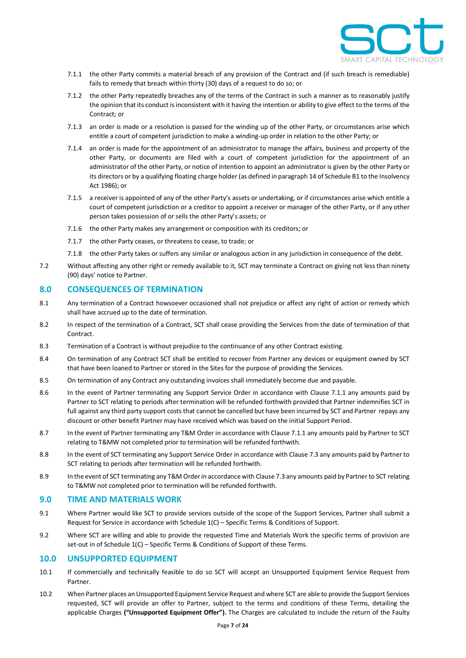

- <span id="page-6-2"></span>7.1.1 the other Party commits a material breach of any provision of the Contract and (if such breach is remediable) fails to remedy that breach within thirty (30) days of a request to do so; or
- 7.1.2 the other Party repeatedly breaches any of the terms of the Contract in such a manner as to reasonably justify the opinion that its conduct is inconsistent with it having the intention or ability to give effect to the terms of the Contract; or
- 7.1.3 an order is made or a resolution is passed for the winding up of the other Party, or circumstances arise which entitle a court of competent jurisdiction to make a winding-up order in relation to the other Party; or
- 7.1.4 an order is made for the appointment of an administrator to manage the affairs, business and property of the other Party, or documents are filed with a court of competent jurisdiction for the appointment of an administrator of the other Party, or notice of intention to appoint an administrator is given by the other Party or its directors or by a qualifying floating charge holder (as defined in paragraph 14 of Schedule B1 to the Insolvency Act 1986); or
- 7.1.5 a receiver is appointed of any of the other Party's assets or undertaking, or if circumstances arise which entitle a court of competent jurisdiction or a creditor to appoint a receiver or manager of the other Party, or if any other person takes possession of or sells the other Party's assets; or
- 7.1.6 the other Party makes any arrangement or composition with its creditors; or
- 7.1.7 the other Party ceases, or threatens to cease, to trade; or
- 7.1.8 the other Party takes or suffers any similar or analogous action in any jurisdiction in consequence of the debt.
- <span id="page-6-3"></span>7.2 Without affecting any other right or remedy available to it, SCT may terminate a Contract on giving not less than ninety (90) days' notice to Partner.

#### <span id="page-6-4"></span>**8.0 CONSEQUENCES OF TERMINATION**

- 8.1 Any termination of a Contract howsoever occasioned shall not prejudice or affect any right of action or remedy which shall have accrued up to the date of termination.
- 8.2 In respect of the termination of a Contract, SCT shall cease providing the Services from the date of termination of that **Contract.**
- 8.3 Termination of a Contract is without prejudice to the continuance of any other Contract existing.
- 8.4 On termination of any Contract SCT shall be entitled to recover from Partner any devices or equipment owned by SCT that have been loaned to Partner or stored in the Sites for the purpose of providing the Services.
- 8.5 On termination of any Contract any outstanding invoices shall immediately become due and payable.
- 8.6 In the event of Partner terminating any Support Service Order in accordance with Clause [7.1.1](#page-6-2) any amounts paid by Partner to SCT relating to periods after termination will be refunded forthwith provided that Partner indemnifies SCT in full against any third party support costs that cannot be cancelled but have been incurred by SCT and Partner repays any discount or other benefit Partner may have received which was based on the initial Support Period.
- 8.7 In the event of Partner terminating any T&M Order in accordance with Claus[e 7.1.1](#page-6-2) any amounts paid by Partner to SCT relating to T&MW not completed prior to termination will be refunded forthwith.
- 8.8 In the event of SCT terminating any Support Service Order in accordance with Claus[e 7.3](#page-6-3) any amounts paid by Partner to SCT relating to periods after termination will be refunded forthwith.
- 8.9 In the event of SCT terminating any T&M Order in accordance with Claus[e 7.3](#page-6-3) any amounts paid by Partner to SCT relating to T&MW not completed prior to termination will be refunded forthwith.

#### <span id="page-6-1"></span>**9.0 TIME AND MATERIALS WORK**

- 9.1 Where Partner would like SCT to provide services outside of the scope of the Support Services, Partner shall submit a Request for Service in accordance with Schedule 1(C) – Specific Terms & Conditions of Support.
- 9.2 Where SCT are willing and able to provide the requested Time and Materials Work the specific terms of provision are set-out in of Schedule 1(C) – Specific Terms & Conditions of Support of these Terms.

#### <span id="page-6-0"></span>**10.0 UNSUPPORTED EQUIPMENT**

- 10.1 If commercially and technically feasible to do so SCT will accept an Unsupported Equipment Service Request from Partner.
- 10.2 When Partner places an Unsupported Equipment Service Request and where SCT are able to provide the Support Services requested, SCT will provide an offer to Partner, subject to the terms and conditions of these Terms, detailing the applicable Charges **("Unsupported Equipment Offer").** The Charges are calculated to include the return of the Faulty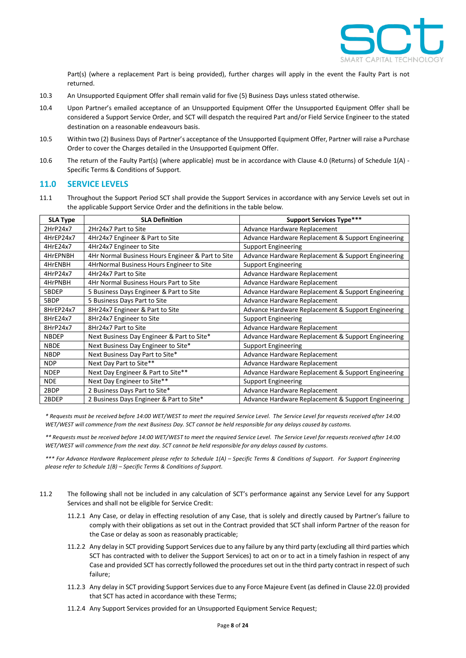

Part(s) (where a replacement Part is being provided), further charges will apply in the event the Faulty Part is not returned.

- 10.3 An Unsupported Equipment Offer shall remain valid for five (5) Business Days unless stated otherwise.
- 10.4 Upon Partner's emailed acceptance of an Unsupported Equipment Offer the Unsupported Equipment Offer shall be considered a Support Service Order, and SCT will despatch the required Part and/or Field Service Engineer to the stated destination on a reasonable endeavours basis.
- 10.5 Within two (2) Business Days of Partner's acceptance of the Unsupported Equipment Offer, Partner will raise a Purchase Order to cover the Charges detailed in the Unsupported Equipment Offer.
- 10.6 The return of the Faulty Part(s) (where applicable) must be in accordance with Clause 4.0 (Returns) of Schedule 1(A) Specific Terms & Conditions of Support.

#### **11.0 SERVICE LEVELS**

11.1 Throughout the Support Period SCT shall provide the Support Services in accordance with any Service Levels set out in the applicable Support Service Order and the definitions in the table below.

| <b>SLA Type</b> | <b>SLA Definition</b>                             | <b>Support Services Type***</b>                    |
|-----------------|---------------------------------------------------|----------------------------------------------------|
| 2HrP24x7        | 2Hr24x7 Part to Site                              | Advance Hardware Replacement                       |
| 4HrEP24x7       | 4Hr24x7 Engineer & Part to Site                   | Advance Hardware Replacement & Support Engineering |
| 4HrE24x7        | 4Hr24x7 Engineer to Site                          | <b>Support Engineering</b>                         |
| 4HrEPNBH        | 4Hr Normal Business Hours Engineer & Part to Site | Advance Hardware Replacement & Support Engineering |
| 4HrENBH         | 4HrNormal Business Hours Engineer to Site         | <b>Support Engineering</b>                         |
| 4HrP24x7        | 4Hr24x7 Part to Site                              | Advance Hardware Replacement                       |
| 4HrPNBH         | 4Hr Normal Business Hours Part to Site            | Advance Hardware Replacement                       |
| 5BDEP           | 5 Business Days Engineer & Part to Site           | Advance Hardware Replacement & Support Engineering |
| 5BDP            | 5 Business Days Part to Site                      | Advance Hardware Replacement                       |
| 8HrEP24x7       | 8Hr24x7 Engineer & Part to Site                   | Advance Hardware Replacement & Support Engineering |
| 8HrE24x7        | 8Hr24x7 Engineer to Site                          | <b>Support Engineering</b>                         |
| 8HrP24x7        | 8Hr24x7 Part to Site                              | Advance Hardware Replacement                       |
| <b>NBDEP</b>    | Next Business Day Engineer & Part to Site*        | Advance Hardware Replacement & Support Engineering |
| <b>NBDE</b>     | Next Business Day Engineer to Site*               | <b>Support Engineering</b>                         |
| <b>NBDP</b>     | Next Business Day Part to Site*                   | Advance Hardware Replacement                       |
| <b>NDP</b>      | Next Day Part to Site**                           | Advance Hardware Replacement                       |
| <b>NDEP</b>     | Next Day Engineer & Part to Site**                | Advance Hardware Replacement & Support Engineering |
| <b>NDE</b>      | Next Day Engineer to Site**                       | <b>Support Engineering</b>                         |
| 2BDP            | 2 Business Days Part to Site*                     | Advance Hardware Replacement                       |
| 2BDEP           | 2 Business Days Engineer & Part to Site*          | Advance Hardware Replacement & Support Engineering |

*\* Requests must be received before 14:00 WET/WEST to meet the required Service Level. The Service Level for requests received after 14:00 WET/WEST will commence from the next Business Day. SCT cannot be held responsible for any delays caused by customs.*

*\*\* Requests must be received before 14:00 WET/WEST to meet the required Service Level. The Service Level for requests received after 14:00 WET/WEST will commence from the next day. SCT cannot be held responsible for any delays caused by customs.*

*\*\*\* For Advance Hardware Replacement please refer to Schedule 1(A) – Specific Terms & Conditions of Support. For Support Engineering please refer to Schedule 1(B) – Specific Terms & Conditions of Support.*

- <span id="page-7-0"></span>11.2 The following shall not be included in any calculation of SCT's performance against any Service Level for any Support Services and shall not be eligible for Service Credit:
	- 11.2.1 Any Case, or delay in effecting resolution of any Case, that is solely and directly caused by Partner's failure to comply with their obligations as set out in the Contract provided that SCT shall inform Partner of the reason for the Case or delay as soon as reasonably practicable;
	- 11.2.2 Any delay in SCT providing Support Services due to any failure by any third party (excluding all third parties which SCT has contracted with to deliver the Support Services) to act on or to act in a timely fashion in respect of any Case and provided SCT has correctly followed the procedures set out in the third party contract in respect of such failure;
	- 11.2.3 Any delay in SCT providing Support Services due to any Force Majeure Event (as defined in Claus[e 22.0\)](#page-11-0) provided that SCT has acted in accordance with these Terms;
	- 11.2.4 Any Support Services provided for an Unsupported Equipment Service Request;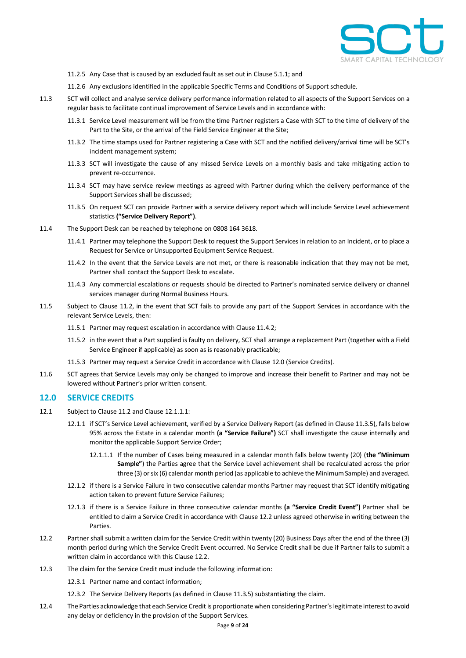

- 11.2.5 Any Case that is caused by an excluded fault as set out in Claus[e 5.1.1;](#page-4-0) and
- 11.2.6 Any exclusions identified in the applicable Specific Terms and Conditions of Support schedule.
- 11.3 SCT will collect and analyse service delivery performance information related to all aspects of the Support Services on a regular basis to facilitate continual improvement of Service Levels and in accordance with:
	- 11.3.1 Service Level measurement will be from the time Partner registers a Case with SCT to the time of delivery of the Part to the Site, or the arrival of the Field Service Engineer at the Site;
	- 11.3.2 The time stamps used for Partner registering a Case with SCT and the notified delivery/arrival time will be SCT's incident management system;
	- 11.3.3 SCT will investigate the cause of any missed Service Levels on a monthly basis and take mitigating action to prevent re-occurrence.
	- 11.3.4 SCT may have service review meetings as agreed with Partner during which the delivery performance of the Support Services shall be discussed;
	- 11.3.5 On request SCT can provide Partner with a service delivery report which will include Service Level achievement statistics **("Service Delivery Report")**.
- <span id="page-8-3"></span><span id="page-8-0"></span>11.4 The Support Desk can be reached by telephone on 0808 164 3618.
	- 11.4.1 Partner may telephone the Support Desk to request the Support Services in relation to an Incident, or to place a Request for Service or Unsupported Equipment Service Request.
	- 11.4.2 In the event that the Service Levels are not met, or there is reasonable indication that they may not be met, Partner shall contact the Support Desk to escalate.
	- 11.4.3 Any commercial escalations or requests should be directed to Partner's nominated service delivery or channel services manager during Normal Business Hours.
- 11.5 Subject to Clause [11.2,](#page-7-0) in the event that SCT fails to provide any part of the Support Services in accordance with the relevant Service Levels, then:
	- 11.5.1 Partner may request escalation in accordance with Clause [11.4.2;](#page-8-0)
	- 11.5.2 in the event that a Part supplied is faulty on delivery, SCT shall arrange a replacement Part (together with a Field Service Engineer if applicable) as soon as is reasonably practicable;
	- 11.5.3 Partner may request a Service Credit in accordance with Claus[e 12.0](#page-8-1) (Service Credits).
- 11.6 SCT agrees that Service Levels may only be changed to improve and increase their benefit to Partner and may not be lowered without Partner's prior written consent.

#### <span id="page-8-1"></span>**12.0 SERVICE CREDITS**

- <span id="page-8-5"></span><span id="page-8-2"></span>12.1 Subject to Claus[e 11.2](#page-7-0) and Claus[e 12.1.1.1:](#page-8-2)
	- 12.1.1 if SCT's Service Level achievement, verified by a Service Delivery Report (as defined in Claus[e 11.3.5\)](#page-8-3), falls below 95% across the Estate in a calendar month **(a "Service Failure")** SCT shall investigate the cause internally and monitor the applicable Support Service Order;
		- 12.1.1.1 If the number of Cases being measured in a calendar month falls below twenty (20) (**the "Minimum Sample"**) the Parties agree that the Service Level achievement shall be recalculated across the prior three (3) or six (6) calendar month period (as applicable to achieve the Minimum Sample) and averaged.
	- 12.1.2 if there is a Service Failure in two consecutive calendar months Partner may request that SCT identify mitigating action taken to prevent future Service Failures;
	- 12.1.3 if there is a Service Failure in three consecutive calendar months **(a "Service Credit Event")** Partner shall be entitled to claim a Service Credit in accordance with Claus[e 12.2](#page-8-4) unless agreed otherwise in writing between the Parties.
- <span id="page-8-4"></span>12.2 Partner shall submit a written claim for the Service Credit within twenty (20) Business Days after the end of the three (3) month period during which the Service Credit Event occurred. No Service Credit shall be due if Partner fails to submit a written claim in accordance with this Clause [12.2.](#page-8-4)
- 12.3 The claim for the Service Credit must include the following information:

12.3.1 Partner name and contact information;

- 12.3.2 The Service Delivery Reports (as defined in Claus[e 11.3.5\)](#page-8-3) substantiating the claim.
- 12.4 The Parties acknowledge that each Service Credit is proportionate when considering Partner's legitimate interest to avoid any delay or deficiency in the provision of the Support Services.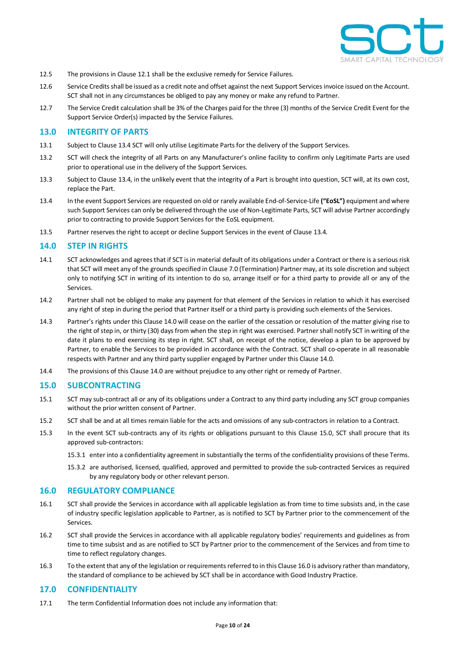

- 12.5 The provisions in Clause [12.1](#page-8-5) shall be the exclusive remedy for Service Failures.
- 12.6 Service Credits shall be issued as a credit note and offset against the next Support Servicesinvoice issued on the Account. SCT shall not in any circumstances be obliged to pay any money or make any refund to Partner.
- 12.7 The Service Credit calculation shall be 3% of the Charges paid for the three (3) months of the Service Credit Event for the Support Service Order(s) impacted by the Service Failures.

#### **13.0 INTEGRITY OF PARTS**

- 13.1 Subject to Claus[e 13.4](#page-9-0) SCT will only utilise Legitimate Parts for the delivery of the Support Services.
- 13.2 SCT will check the integrity of all Parts on any Manufacturer's online facility to confirm only Legitimate Parts are used prior to operational use in the delivery of the Support Services.
- 13.3 Subject to Claus[e 13.4,](#page-9-0) in the unlikely event that the integrity of a Part is brought into question, SCT will, at its own cost, replace the Part.
- <span id="page-9-0"></span>13.4 In the event Support Services are requested on old or rarely available End-of-Service-Life **("EoSL")** equipment and where such Support Services can only be delivered through the use of Non-Legitimate Parts, SCT will advise Partner accordingly prior to contracting to provide Support Services for the EoSL equipment.
- 13.5 Partner reserves the right to accept or decline Support Services in the event of Claus[e 13.4.](#page-9-0)

#### <span id="page-9-1"></span>**14.0 STEP IN RIGHTS**

- 14.1 SCT acknowledges and agrees that if SCT is in material default of its obligations under a Contract or there is a serious risk that SCT will meet any of the grounds specified in Claus[e 7.0](#page-5-1) (Termination) Partner may, at its sole discretion and subject only to notifying SCT in writing of its intention to do so, arrange itself or for a third party to provide all or any of the Services.
- 14.2 Partner shall not be obliged to make any payment for that element of the Services in relation to which it has exercised any right of step in during the period that Partner itself or a third party is providing such elements of the Services.
- 14.3 Partner's rights under this Claus[e 14.0](#page-9-1) will cease on the earlier of the cessation or resolution of the matter giving rise to the right of step in, or thirty (30) days from when the step in right was exercised. Partnershall notify SCT in writing of the date it plans to end exercising its step in right. SCT shall, on receipt of the notice, develop a plan to be approved by Partner, to enable the Services to be provided in accordance with the Contract. SCT shall co-operate in all reasonable respects with Partner and any third party supplier engaged by Partner under this Clause [14.0.](#page-9-1)
- 14.4 The provisions of this Claus[e 14.0](#page-9-1) are without prejudice to any other right or remedy of Partner.

#### <span id="page-9-2"></span>**15.0 SUBCONTRACTING**

- 15.1 SCT may sub-contract all or any of its obligations under a Contract to any third party including any SCT group companies without the prior written consent of Partner.
- 15.2 SCT shall be and at all times remain liable for the acts and omissions of any sub-contractors in relation to a Contract.
- 15.3 In the event SCT sub-contracts any of its rights or obligations pursuant to this Clause [15.0,](#page-9-2) SCT shall procure that its approved sub-contractors:
	- 15.3.1 enter into a confidentiality agreement in substantially the terms of the confidentiality provisions of these Terms.
	- 15.3.2 are authorised, licensed, qualified, approved and permitted to provide the sub-contracted Services as required by any regulatory body or other relevant person.

#### <span id="page-9-3"></span>**16.0 REGULATORY COMPLIANCE**

- 16.1 SCT shall provide the Services in accordance with all applicable legislation as from time to time subsists and, in the case of industry specific legislation applicable to Partner, as is notified to SCT by Partner prior to the commencement of the Services.
- 16.2 SCT shall provide the Services in accordance with all applicable regulatory bodies' requirements and guidelines as from time to time subsist and as are notified to SCT by Partner prior to the commencement of the Services and from time to time to reflect regulatory changes.
- 16.3 To the extent that any of the legislation or requirements referred to in this Claus[e 16.0](#page-9-3) is advisory rather than mandatory, the standard of compliance to be achieved by SCT shall be in accordance with Good Industry Practice.

#### <span id="page-9-4"></span>**17.0 CONFIDENTIALITY**

17.1 The term Confidential Information does not include any information that: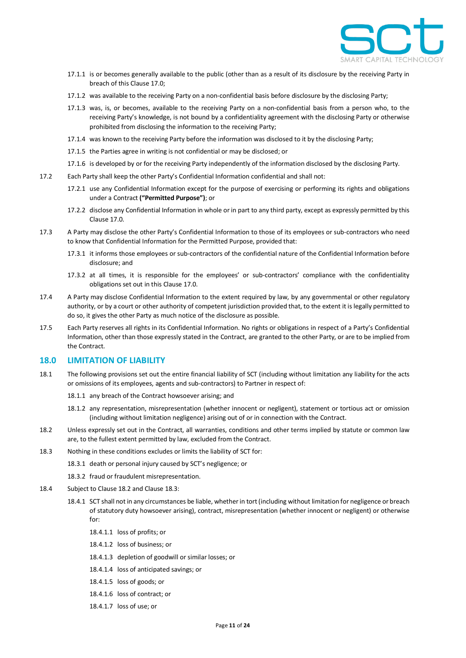

- 17.1.1 is or becomes generally available to the public (other than as a result of its disclosure by the receiving Party in breach of this Claus[e 17.0;](#page-9-4)
- 17.1.2 was available to the receiving Party on a non-confidential basis before disclosure by the disclosing Party;
- 17.1.3 was, is, or becomes, available to the receiving Party on a non-confidential basis from a person who, to the receiving Party's knowledge, is not bound by a confidentiality agreement with the disclosing Party or otherwise prohibited from disclosing the information to the receiving Party;
- 17.1.4 was known to the receiving Party before the information was disclosed to it by the disclosing Party;
- 17.1.5 the Parties agree in writing is not confidential or may be disclosed; or
- 17.1.6 is developed by or for the receiving Party independently of the information disclosed by the disclosing Party.
- 17.2 Each Party shall keep the other Party's Confidential Information confidential and shall not:
	- 17.2.1 use any Confidential Information except for the purpose of exercising or performing its rights and obligations under a Contract **("Permitted Purpose")**; or
	- 17.2.2 disclose any Confidential Information in whole or in part to any third party, except as expressly permitted by this Claus[e 17.0.](#page-9-4)
- 17.3 A Party may disclose the other Party's Confidential Information to those of its employees or sub-contractors who need to know that Confidential Information for the Permitted Purpose, provided that:
	- 17.3.1 it informs those employees or sub-contractors of the confidential nature of the Confidential Information before disclosure; and
	- 17.3.2 at all times, it is responsible for the employees' or sub-contractors' compliance with the confidentiality obligations set out in this Claus[e 17.0.](#page-9-4)
- 17.4 A Party may disclose Confidential Information to the extent required by law, by any governmental or other regulatory authority, or by a court or other authority of competent jurisdiction provided that, to the extent it is legally permitted to do so, it gives the other Party as much notice of the disclosure as possible.
- 17.5 Each Party reserves all rights in its Confidential Information. No rights or obligations in respect of a Party's Confidential Information, other than those expressly stated in the Contract, are granted to the other Party, or are to be implied from the Contract.

#### <span id="page-10-2"></span>**18.0 LIMITATION OF LIABILITY**

- 18.1 The following provisions set out the entire financial liability of SCT (including without limitation any liability for the acts or omissions of its employees, agents and sub-contractors) to Partner in respect of:
	- 18.1.1 any breach of the Contract howsoever arising; and
	- 18.1.2 any representation, misrepresentation (whether innocent or negligent), statement or tortious act or omission (including without limitation negligence) arising out of or in connection with the Contract.
- <span id="page-10-0"></span>18.2 Unless expressly set out in the Contract, all warranties, conditions and other terms implied by statute or common law are, to the fullest extent permitted by law, excluded from the Contract.
- <span id="page-10-1"></span>18.3 Nothing in these conditions excludes or limits the liability of SCT for:
	- 18.3.1 death or personal injury caused by SCT's negligence; or
		- 18.3.2 fraud or fraudulent misrepresentation.
- 18.4 Subject to Claus[e 18.2](#page-10-0) and Claus[e 18.3:](#page-10-1)
	- 18.4.1 SCT shall not in any circumstances be liable, whether in tort (including without limitation for negligence or breach of statutory duty howsoever arising), contract, misrepresentation (whether innocent or negligent) or otherwise for:
		- 18.4.1.1 loss of profits; or
		- 18.4.1.2 loss of business; or
		- 18.4.1.3 depletion of goodwill or similar losses; or
		- 18.4.1.4 loss of anticipated savings; or
		- 18.4.1.5 loss of goods; or
		- 18.4.1.6 loss of contract; or
		- 18.4.1.7 loss of use; or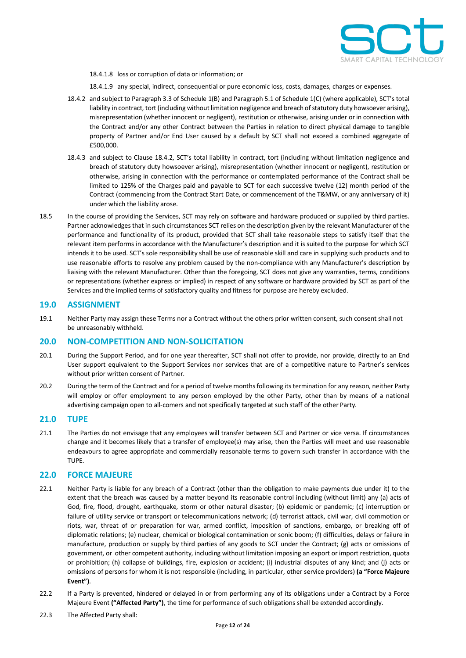

- 18.4.1.8 loss or corruption of data or information; or
- 18.4.1.9 any special, indirect, consequential or pure economic loss, costs, damages, charges or expenses.
- <span id="page-11-1"></span>18.4.2 and subject to Paragrap[h 3.3](#page-18-0) of Schedule 1(B) and Paragrap[h 5.1](#page-22-0) of Schedule 1(C) (where applicable), SCT's total liability in contract, tort (including without limitation negligence and breach of statutory duty howsoever arising), misrepresentation (whether innocent or negligent), restitution or otherwise, arising under or in connection with the Contract and/or any other Contract between the Parties in relation to direct physical damage to tangible property of Partner and/or End User caused by a default by SCT shall not exceed a combined aggregate of £500,000.
- 18.4.3 and subject to Clause [18.4.2,](#page-11-1) SCT's total liability in contract, tort (including without limitation negligence and breach of statutory duty howsoever arising), misrepresentation (whether innocent or negligent), restitution or otherwise, arising in connection with the performance or contemplated performance of the Contract shall be limited to 125% of the Charges paid and payable to SCT for each successive twelve (12) month period of the Contract (commencing from the Contract Start Date, or commencement of the T&MW, or any anniversary of it) under which the liability arose.
- 18.5 In the course of providing the Services, SCT may rely on software and hardware produced or supplied by third parties. Partner acknowledges that in such circumstances SCT relies on the description given by the relevant Manufacturer of the performance and functionality of its product, provided that SCT shall take reasonable steps to satisfy itself that the relevant item performs in accordance with the Manufacturer's description and it is suited to the purpose for which SCT intends it to be used. SCT's sole responsibility shall be use of reasonable skill and care in supplying such products and to use reasonable efforts to resolve any problem caused by the non-compliance with any Manufacturer's description by liaising with the relevant Manufacturer. Other than the foregoing, SCT does not give any warranties, terms, conditions or representations (whether express or implied) in respect of any software or hardware provided by SCT as part of the Services and the implied terms of satisfactory quality and fitness for purpose are hereby excluded.

#### **19.0 ASSIGNMENT**

19.1 Neither Party may assign these Terms nor a Contract without the others prior written consent, such consent shall not be unreasonably withheld.

#### **20.0 NON-COMPETITION AND NON-SOLICITATION**

- 20.1 During the Support Period, and for one year thereafter, SCT shall not offer to provide, nor provide, directly to an End User support equivalent to the Support Services nor services that are of a competitive nature to Partner's services without prior written consent of Partner.
- 20.2 During the term of the Contract and for a period of twelve months following its termination for any reason, neither Party will employ or offer employment to any person employed by the other Party, other than by means of a national advertising campaign open to all-comers and not specifically targeted at such staff of the other Party.

#### **21.0 TUPE**

21.1 The Parties do not envisage that any employees will transfer between SCT and Partner or vice versa. If circumstances change and it becomes likely that a transfer of employee(s) may arise, then the Parties will meet and use reasonable endeavours to agree appropriate and commercially reasonable terms to govern such transfer in accordance with the TUPE.

#### <span id="page-11-0"></span>**22.0 FORCE MAJEURE**

- 22.1 Neither Party is liable for any breach of a Contract (other than the obligation to make payments due under it) to the extent that the breach was caused by a matter beyond its reasonable control including (without limit) any (a) acts of God, fire, flood, drought, earthquake, storm or other natural disaster; (b) epidemic or pandemic; (c) interruption or failure of utility service or transport or telecommunications network; (d) terrorist attack, civil war, civil commotion or riots, war, threat of or preparation for war, armed conflict, imposition of sanctions, embargo, or breaking off of diplomatic relations; (e) nuclear, chemical or biological contamination or sonic boom; (f) difficulties, delays or failure in manufacture, production or supply by third parties of any goods to SCT under the Contract; (g) acts or omissions of government, or other competent authority, including without limitation imposing an export or import restriction, quota or prohibition; (h) collapse of buildings, fire, explosion or accident; (i) industrial disputes of any kind; and (j) acts or omissions of persons for whom it is not responsible (including, in particular, other service providers) **(a "Force Majeure Event")**.
- 22.2 If a Party is prevented, hindered or delayed in or from performing any of its obligations under a Contract by a Force Majeure Event **("Affected Party")**, the time for performance of such obligations shall be extended accordingly.
- 22.3 The Affected Party shall: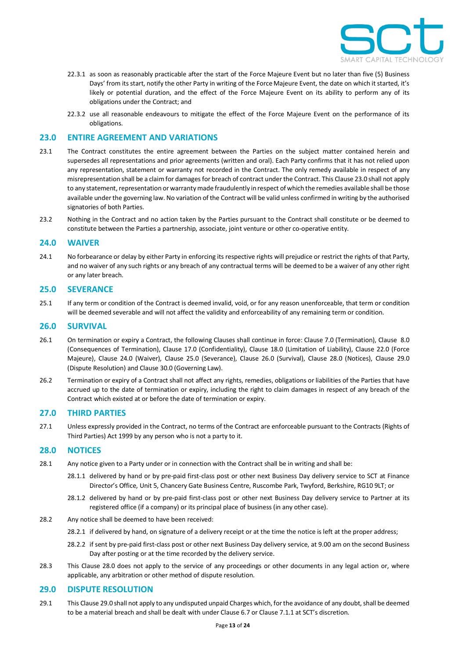

- 22.3.1 as soon as reasonably practicable after the start of the Force Majeure Event but no later than five (5) Business Days' from its start, notify the other Party in writing of the Force Majeure Event, the date on which it started, it's likely or potential duration, and the effect of the Force Majeure Event on its ability to perform any of its obligations under the Contract; and
- 22.3.2 use all reasonable endeavours to mitigate the effect of the Force Majeure Event on the performance of its obligations.

#### <span id="page-12-0"></span>**23.0 ENTIRE AGREEMENT AND VARIATIONS**

- 23.1 The Contract constitutes the entire agreement between the Parties on the subject matter contained herein and supersedes all representations and prior agreements (written and oral). Each Party confirms that it has not relied upon any representation, statement or warranty not recorded in the Contract. The only remedy available in respect of any misrepresentation shall be a claim for damages for breach of contract under the Contract. This Claus[e 23.0](#page-12-0) shall not apply to any statement, representation or warranty made fraudulently in respect of which the remedies available shall be those available under the governing law. No variation of the Contract will be valid unless confirmed in writing by the authorised signatories of both Parties.
- 23.2 Nothing in the Contract and no action taken by the Parties pursuant to the Contract shall constitute or be deemed to constitute between the Parties a partnership, associate, joint venture or other co-operative entity.

#### <span id="page-12-1"></span>**24.0 WAIVER**

24.1 No forbearance or delay by either Party in enforcing its respective rights will prejudice or restrict the rights of that Party, and no waiver of any such rights or any breach of any contractual terms will be deemed to be a waiver of any other right or any later breach.

#### <span id="page-12-2"></span>**25.0 SEVERANCE**

25.1 If any term or condition of the Contract is deemed invalid, void, or for any reason unenforceable, that term or condition will be deemed severable and will not affect the validity and enforceability of any remaining term or condition.

#### <span id="page-12-3"></span>**26.0 SURVIVAL**

- 26.1 On termination or expiry a Contract, the following Clauses shall continue in force: Clause [7.0](#page-5-1) (Termination), Clause [8.0](#page-6-4) (Consequences of Termination), Clause [17.0](#page-9-4) (Confidentiality), Clause [18.0](#page-10-2) (Limitation of Liability), Clause [22.0](#page-11-0) (Force Majeure), Clause [24.0](#page-12-1) (Waiver), Clause [25.0](#page-12-2) (Severance), Clause [26.0](#page-12-3) (Survival), Clause [28.0](#page-12-4) (Notices), Clause [29.0](#page-12-5) (Dispute Resolution) and Claus[e 30.0](#page-13-0) (Governing Law).
- 26.2 Termination or expiry of a Contract shall not affect any rights, remedies, obligations or liabilities of the Parties that have accrued up to the date of termination or expiry, including the right to claim damages in respect of any breach of the Contract which existed at or before the date of termination or expiry.

#### **27.0 THIRD PARTIES**

27.1 Unless expressly provided in the Contract, no terms of the Contract are enforceable pursuant to the Contracts (Rights of Third Parties) Act 1999 by any person who is not a party to it.

#### <span id="page-12-4"></span>**28.0 NOTICES**

- 28.1 Any notice given to a Party under or in connection with the Contract shall be in writing and shall be:
	- 28.1.1 delivered by hand or by pre-paid first-class post or other next Business Day delivery service to SCT at Finance Director's Office, Unit 5, Chancery Gate Business Centre, Ruscombe Park, Twyford, Berkshire, RG10 9LT; or
	- 28.1.2 delivered by hand or by pre-paid first-class post or other next Business Day delivery service to Partner at its registered office (if a company) or its principal place of business (in any other case).
- 28.2 Any notice shall be deemed to have been received:
	- 28.2.1 if delivered by hand, on signature of a delivery receipt or at the time the notice is left at the proper address;
	- 28.2.2 if sent by pre-paid first-class post or other next Business Day delivery service, at 9.00 am on the second Business Day after posting or at the time recorded by the delivery service.
- 28.3 This Clause [28.0](#page-12-4) does not apply to the service of any proceedings or other documents in any legal action or, where applicable, any arbitration or other method of dispute resolution.

#### <span id="page-12-5"></span>**29.0 DISPUTE RESOLUTION**

29.1 This Claus[e 29.0](#page-12-5) shall not apply to any undisputed unpaid Charges which, for the avoidance of any doubt, shall be deemed to be a material breach and shall be dealt with under Clause [6.7](#page-5-2) or Claus[e 7.1.1](#page-6-2) at SCT's discretion.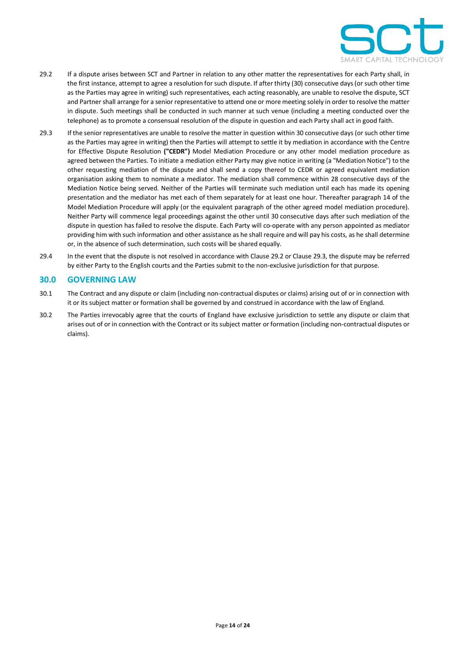

- <span id="page-13-1"></span>29.2 If a dispute arises between SCT and Partner in relation to any other matter the representatives for each Party shall, in the first instance, attempt to agree a resolution for such dispute. If after thirty (30) consecutive days (or such other time as the Parties may agree in writing) such representatives, each acting reasonably, are unable to resolve the dispute, SCT and Partner shall arrange for a senior representative to attend one or more meeting solely in order to resolve the matter in dispute. Such meetings shall be conducted in such manner at such venue (including a meeting conducted over the telephone) as to promote a consensual resolution of the dispute in question and each Party shall act in good faith.
- <span id="page-13-2"></span>29.3 If the senior representatives are unable to resolve the matter in question within 30 consecutive days (or such other time as the Parties may agree in writing) then the Parties will attempt to settle it by mediation in accordance with the Centre for Effective Dispute Resolution **("CEDR")** Model Mediation Procedure or any other model mediation procedure as agreed between the Parties. To initiate a mediation either Party may give notice in writing (a "Mediation Notice") to the other requesting mediation of the dispute and shall send a copy thereof to CEDR or agreed equivalent mediation organisation asking them to nominate a mediator. The mediation shall commence within 28 consecutive days of the Mediation Notice being served. Neither of the Parties will terminate such mediation until each has made its opening presentation and the mediator has met each of them separately for at least one hour. Thereafter paragraph 14 of the Model Mediation Procedure will apply (or the equivalent paragraph of the other agreed model mediation procedure). Neither Party will commence legal proceedings against the other until 30 consecutive days after such mediation of the dispute in question has failed to resolve the dispute. Each Party will co-operate with any person appointed as mediator providing him with such information and other assistance as he shall require and will pay his costs, as he shall determine or, in the absence of such determination, such costs will be shared equally.
- 29.4 In the event that the dispute is not resolved in accordance with Claus[e 29.2](#page-13-1) or Claus[e 29.3,](#page-13-2) the dispute may be referred by either Party to the English courts and the Parties submit to the non-exclusive jurisdiction for that purpose.

#### <span id="page-13-0"></span>**30.0 GOVERNING LAW**

- 30.1 The Contract and any dispute or claim (including non-contractual disputes or claims) arising out of or in connection with it or its subject matter or formation shall be governed by and construed in accordance with the law of England.
- 30.2 The Parties irrevocably agree that the courts of England have exclusive jurisdiction to settle any dispute or claim that arises out of or in connection with the Contract or its subject matter or formation (including non-contractual disputes or claims).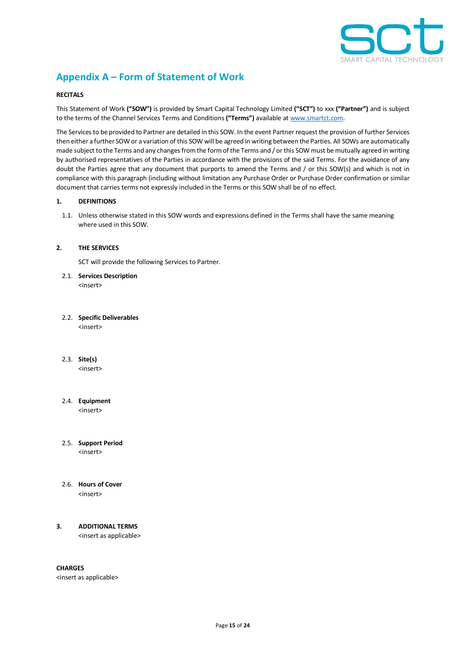

# **Appendix A – Form of Statement of Work**

#### **RECITALS**

This Statement of Work **("SOW")** is provided by Smart Capital Technology Limited **("SCT")** to xxx **("Partner")** and is subject to the terms of the Channel Services Terms and Conditions **("Terms")** available at [www.smartct.com.](http://www.smartct.com/) 

The Services to be provided to Partner are detailed in this SOW. In the event Partner request the provision of further Services then either a further SOW or a variation of this SOW will be agreed in writing between the Parties. All SOWs are automatically made subject to the Terms and any changes from the form of the Terms and / or this SOW must be mutually agreed in writing by authorised representatives of the Parties in accordance with the provisions of the said Terms. For the avoidance of any doubt the Parties agree that any document that purports to amend the Terms and / or this SOW(s) and which is not in compliance with this paragraph (including without limitation any Purchase Order or Purchase Order confirmation or similar document that carries terms not expressly included in the Terms or this SOW shall be of no effect.

#### **1. DEFINITIONS**

1.1. Unless otherwise stated in this SOW words and expressions defined in the Terms shall have the same meaning where used in this SOW.

#### **2. THE SERVICES**

SCT will provide the following Services to Partner.

2.1. **Services Description** <insert>

## 2.2. **Specific Deliverables**

<insert>

2.3. **Site(s)**

<insert>

# 2.4. **Equipment**

<insert>

#### 2.5. **Support Period** <insert>

#### 2.6. **Hours of Cover** <insert>

#### **3. ADDITIONAL TERMS** <insert as applicable>

**CHARGES**

<insert as applicable>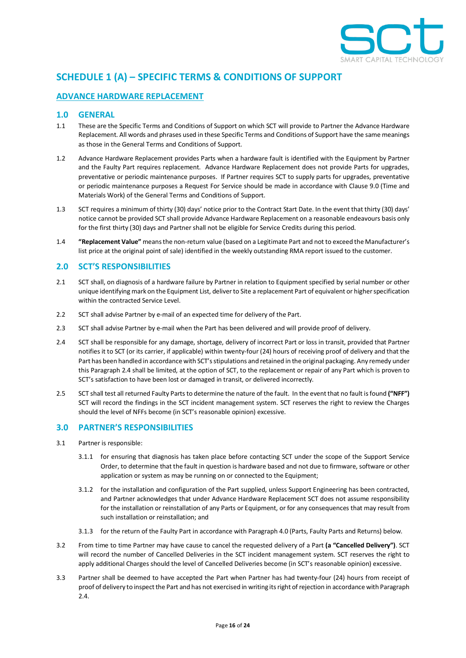

# **SCHEDULE 1 (A) – SPECIFIC TERMS & CONDITIONS OF SUPPORT**

# **ADVANCE HARDWARE REPLACEMENT**

# **1.0 GENERAL**

- 1.1 These are the Specific Terms and Conditions of Support on which SCT will provide to Partner the Advance Hardware Replacement. All words and phrases used in these Specific Terms and Conditions of Support have the same meanings as those in the General Terms and Conditions of Support.
- 1.2 Advance Hardware Replacement provides Parts when a hardware fault is identified with the Equipment by Partner and the Faulty Part requires replacement. Advance Hardware Replacement does not provide Parts for upgrades, preventative or periodic maintenance purposes. If Partner requires SCT to supply parts for upgrades, preventative or periodic maintenance purposes a Request For Service should be made in accordance with Claus[e 9.0](#page-6-1) (Time and Materials Work) of the General Terms and Conditions of Support.
- 1.3 SCT requires a minimum of thirty (30) days' notice prior to the Contract Start Date. In the event that thirty (30) days' notice cannot be provided SCT shall provide Advance Hardware Replacement on a reasonable endeavours basis only for the first thirty (30) days and Partner shall not be eligible for Service Credits during this period.
- 1.4 **"Replacement Value"** means the non-return value (based on a Legitimate Part and not to exceed the Manufacturer's list price at the original point of sale) identified in the weekly outstanding RMA report issued to the customer.

## <span id="page-15-1"></span>**2.0 SCT'S RESPONSIBILITIES**

- 2.1 SCT shall, on diagnosis of a hardware failure by Partner in relation to Equipment specified by serial number or other unique identifying mark on the Equipment List, deliver to Site a replacement Part of equivalent or higher specification within the contracted Service Level.
- 2.2 SCT shall advise Partner by e-mail of an expected time for delivery of the Part.
- 2.3 SCT shall advise Partner by e-mail when the Part has been delivered and will provide proof of delivery.
- <span id="page-15-0"></span>2.4 SCT shall be responsible for any damage, shortage, delivery of incorrect Part or loss in transit, provided that Partner notifies it to SCT (or its carrier, if applicable) within twenty-four (24) hours of receiving proof of delivery and that the Part has been handled in accordance with SCT's stipulations and retained in the original packaging. Any remedy under this Paragrap[h 2.4](#page-15-0) shall be limited, at the option of SCT, to the replacement or repair of any Part which is proven to SCT's satisfaction to have been lost or damaged in transit, or delivered incorrectly.
- 2.5 SCT shall test all returned Faulty Parts to determine the nature of the fault. In the event that no fault is found **("NFF")** SCT will record the findings in the SCT incident management system. SCT reserves the right to review the Charges should the level of NFFs become (in SCT's reasonable opinion) excessive.

# **3.0 PARTNER'S RESPONSIBILITIES**

- 3.1 Partner is responsible:
	- 3.1.1 for ensuring that diagnosis has taken place before contacting SCT under the scope of the Support Service Order, to determine that the fault in question is hardware based and not due to firmware, software or other application or system as may be running on or connected to the Equipment;
	- 3.1.2 for the installation and configuration of the Part supplied, unless Support Engineering has been contracted, and Partner acknowledges that under Advance Hardware Replacement SCT does not assume responsibility for the installation or reinstallation of any Parts or Equipment, or for any consequences that may result from such installation or reinstallation; and
	- 3.1.3 for the return of the Faulty Part in accordance with Paragraph [4.0](#page-16-0) (Parts, Faulty Parts and Returns) below.
- 3.2 From time to time Partner may have cause to cancel the requested delivery of a Part **(a "Cancelled Delivery")**. SCT will record the number of Cancelled Deliveries in the SCT incident management system. SCT reserves the right to apply additional Charges should the level of Cancelled Deliveries become (in SCT's reasonable opinion) excessive.
- 3.3 Partner shall be deemed to have accepted the Part when Partner has had twenty-four (24) hours from receipt of proof of delivery to inspect the Part and has not exercised in writing its right of rejection in accordance with Paragraph [2.4.](#page-15-0)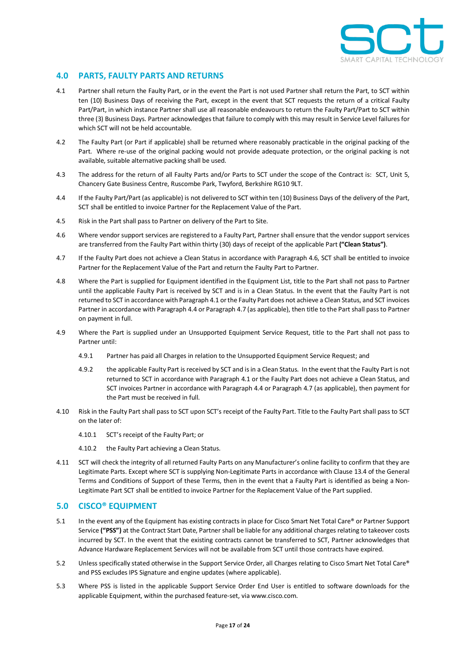

# <span id="page-16-0"></span>**4.0 PARTS, FAULTY PARTS AND RETURNS**

- <span id="page-16-2"></span>4.1 Partner shall return the Faulty Part, or in the event the Part is not used Partner shall return the Part, to SCT within ten (10) Business Days of receiving the Part, except in the event that SCT requests the return of a critical Faulty Part/Part, in which instance Partner shall use all reasonable endeavours to return the Faulty Part/Part to SCT within three (3) Business Days. Partner acknowledges that failure to comply with this may result in Service Level failures for which SCT will not be held accountable.
- 4.2 The Faulty Part (or Part if applicable) shall be returned where reasonably practicable in the original packing of the Part. Where re-use of the original packing would not provide adequate protection, or the original packing is not available, suitable alternative packing shall be used.
- 4.3 The address for the return of all Faulty Parts and/or Parts to SCT under the scope of the Contract is: SCT, Unit 5, Chancery Gate Business Centre, Ruscombe Park, Twyford, Berkshire RG10 9LT.
- <span id="page-16-3"></span>4.4 If the Faulty Part/Part (as applicable) is not delivered to SCT within ten (10) Business Days of the delivery of the Part, SCT shall be entitled to invoice Partner for the Replacement Value of the Part.
- 4.5 Risk in the Part shall pass to Partner on delivery of the Part to Site.
- <span id="page-16-1"></span>4.6 Where vendor support services are registered to a Faulty Part, Partner shall ensure that the vendor support services are transferred from the Faulty Part within thirty (30) days of receipt of the applicable Part **("Clean Status")**.
- <span id="page-16-4"></span>4.7 If the Faulty Part does not achieve a Clean Status in accordance with Paragrap[h 4.6,](#page-16-1) SCT shall be entitled to invoice Partner for the Replacement Value of the Part and return the Faulty Part to Partner.
- 4.8 Where the Part is supplied for Equipment identified in the Equipment List, title to the Part shall not pass to Partner until the applicable Faulty Part is received by SCT and is in a Clean Status. In the event that the Faulty Part is not returned to SCT in accordance with Paragrap[h 4.1](#page-16-2) or the Faulty Part does not achieve a Clean Status, and SCT invoices Partner in accordance with Paragrap[h 4.4](#page-16-3) or Paragraph [4.7](#page-16-4) (as applicable), then title to the Part shall pass to Partner on payment in full.
- 4.9 Where the Part is supplied under an Unsupported Equipment Service Request, title to the Part shall not pass to Partner until:
	- 4.9.1 Partner has paid all Charges in relation to the Unsupported Equipment Service Request; and
	- 4.9.2 the applicable Faulty Part is received by SCT and is in a Clean Status. In the event that the Faulty Part is not returned to SCT in accordance with Paragrap[h 4.1](#page-16-2) or the Faulty Part does not achieve a Clean Status, and SCT invoices Partner in accordance with Paragrap[h 4.4](#page-16-3) or Paragraph [4.7](#page-16-4) (as applicable), then payment for the Part must be received in full.
- 4.10 Risk in the Faulty Part shall pass to SCT upon SCT's receipt of the Faulty Part. Title to the Faulty Part shall pass to SCT on the later of:
	- 4.10.1 SCT's receipt of the Faulty Part; or
	- 4.10.2 the Faulty Part achieving a Clean Status.
- 4.11 SCT will check the integrity of all returned Faulty Parts on any Manufacturer's online facility to confirm that they are Legitimate Parts. Except where SCT is supplying Non-Legitimate Parts in accordance with Claus[e 13.4](#page-9-0) of the General Terms and Conditions of Support of these Terms, then in the event that a Faulty Part is identified as being a Non-Legitimate Part SCT shall be entitled to invoice Partner for the Replacement Value of the Part supplied.

# **5.0 CISCO® EQUIPMENT**

- 5.1 In the event any of the Equipment has existing contracts in place for Cisco Smart Net Total Care® or Partner Support Service **("PSS")** at the Contract Start Date, Partner shall be liable for any additional charges relating to takeover costs incurred by SCT. In the event that the existing contracts cannot be transferred to SCT, Partner acknowledges that Advance Hardware Replacement Services will not be available from SCT until those contracts have expired.
- 5.2 Unless specifically stated otherwise in the Support Service Order, all Charges relating to Cisco Smart Net Total Care® and PSS excludes IPS Signature and engine updates (where applicable).
- 5.3 Where PSS is listed in the applicable Support Service Order End User is entitled to software downloads for the applicable Equipment, within the purchased feature-set, via www.cisco.com.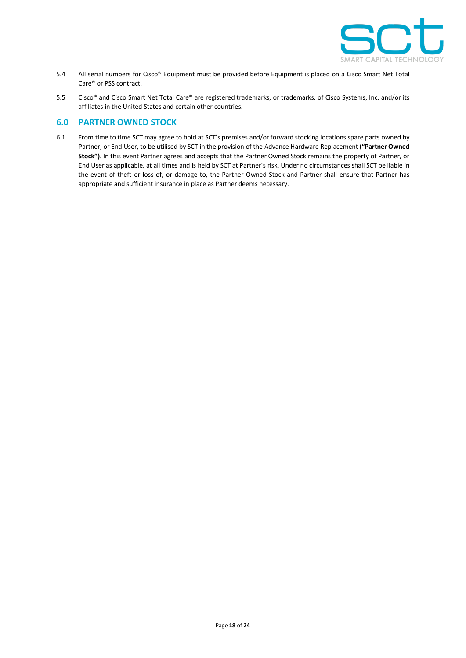

- 5.4 All serial numbers for Cisco® Equipment must be provided before Equipment is placed on a Cisco Smart Net Total Care® or PSS contract.
- 5.5 Cisco® and Cisco Smart Net Total Care® are registered trademarks, or trademarks, of Cisco Systems, Inc. and/or its affiliates in the United States and certain other countries.

# **6.0 PARTNER OWNED STOCK**

6.1 From time to time SCT may agree to hold at SCT's premises and/or forward stocking locations spare parts owned by Partner, or End User, to be utilised by SCT in the provision of the Advance Hardware Replacement **("Partner Owned Stock")**. In this event Partner agrees and accepts that the Partner Owned Stock remains the property of Partner, or End User as applicable, at all times and is held by SCT at Partner's risk. Under no circumstances shall SCT be liable in the event of theft or loss of, or damage to, the Partner Owned Stock and Partner shall ensure that Partner has appropriate and sufficient insurance in place as Partner deems necessary.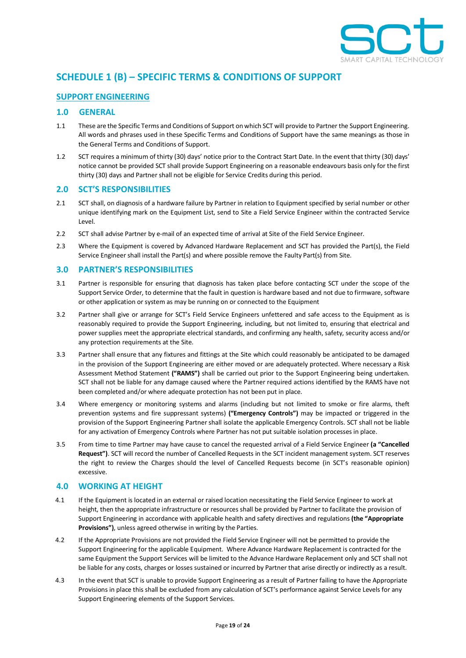

# **SCHEDULE 1 (B) – SPECIFIC TERMS & CONDITIONS OF SUPPORT**

# **SUPPORT ENGINEERING**

## **1.0 GENERAL**

- 1.1 These are the Specific Terms and Conditions of Support on which SCT will provide to Partner the Support Engineering. All words and phrases used in these Specific Terms and Conditions of Support have the same meanings as those in the General Terms and Conditions of Support.
- 1.2 SCT requires a minimum of thirty (30) days' notice prior to the Contract Start Date. In the event that thirty (30) days' notice cannot be provided SCT shall provide Support Engineering on a reasonable endeavours basis only for the first thirty (30) days and Partner shall not be eligible for Service Credits during this period.

#### **2.0 SCT'S RESPONSIBILITIES**

- 2.1 SCT shall, on diagnosis of a hardware failure by Partner in relation to Equipment specified by serial number or other unique identifying mark on the Equipment List, send to Site a Field Service Engineer within the contracted Service Level.
- 2.2 SCT shall advise Partner by e-mail of an expected time of arrival at Site of the Field Service Engineer.
- 2.3 Where the Equipment is covered by Advanced Hardware Replacement and SCT has provided the Part(s), the Field Service Engineer shall install the Part(s) and where possible remove the Faulty Part(s) from Site.

## **3.0 PARTNER'S RESPONSIBILITIES**

- 3.1 Partner is responsible for ensuring that diagnosis has taken place before contacting SCT under the scope of the Support Service Order, to determine that the fault in question is hardware based and not due to firmware, software or other application or system as may be running on or connected to the Equipment
- 3.2 Partner shall give or arrange for SCT's Field Service Engineers unfettered and safe access to the Equipment as is reasonably required to provide the Support Engineering, including, but not limited to, ensuring that electrical and power supplies meet the appropriate electrical standards, and confirming any health, safety, security access and/or any protection requirements at the Site.
- <span id="page-18-0"></span>3.3 Partner shall ensure that any fixtures and fittings at the Site which could reasonably be anticipated to be damaged in the provision of the Support Engineering are either moved or are adequately protected. Where necessary a Risk Assessment Method Statement **("RAMS")** shall be carried out prior to the Support Engineering being undertaken. SCT shall not be liable for any damage caused where the Partner required actions identified by the RAMS have not been completed and/or where adequate protection has not been put in place.
- 3.4 Where emergency or monitoring systems and alarms (including but not limited to smoke or fire alarms, theft prevention systems and fire suppressant systems) **("Emergency Controls")** may be impacted or triggered in the provision of the Support Engineering Partner shall isolate the applicable Emergency Controls. SCT shall not be liable for any activation of Emergency Controls where Partner has not put suitable isolation processes in place.
- 3.5 From time to time Partner may have cause to cancel the requested arrival of a Field Service Engineer **(a "Cancelled Request")**. SCT will record the number of Cancelled Requests in the SCT incident management system. SCT reserves the right to review the Charges should the level of Cancelled Requests become (in SCT's reasonable opinion) excessive.

# **4.0 WORKING AT HEIGHT**

- 4.1 If the Equipment is located in an external or raised location necessitating the Field Service Engineer to work at height, then the appropriate infrastructure or resources shall be provided by Partner to facilitate the provision of Support Engineering in accordance with applicable health and safety directives and regulations **(the "Appropriate Provisions")**, unless agreed otherwise in writing by the Parties.
- 4.2 If the Appropriate Provisions are not provided the Field Service Engineer will not be permitted to provide the Support Engineering for the applicable Equipment. Where Advance Hardware Replacement is contracted for the same Equipment the Support Services will be limited to the Advance Hardware Replacement only and SCT shall not be liable for any costs, charges or losses sustained or incurred by Partner that arise directly or indirectly as a result.
- 4.3 In the event that SCT is unable to provide Support Engineering as a result of Partner failing to have the Appropriate Provisions in place this shall be excluded from any calculation of SCT's performance against Service Levels for any Support Engineering elements of the Support Services.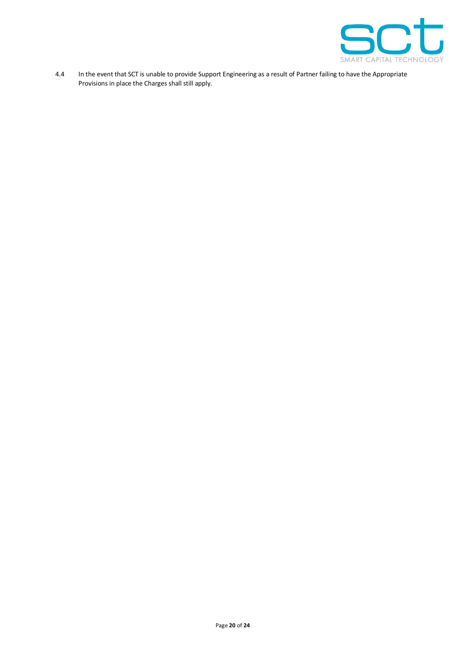

4.4 In the event that SCT is unable to provide Support Engineering as a result of Partner failing to have the Appropriate Provisions in place the Charges shall still apply.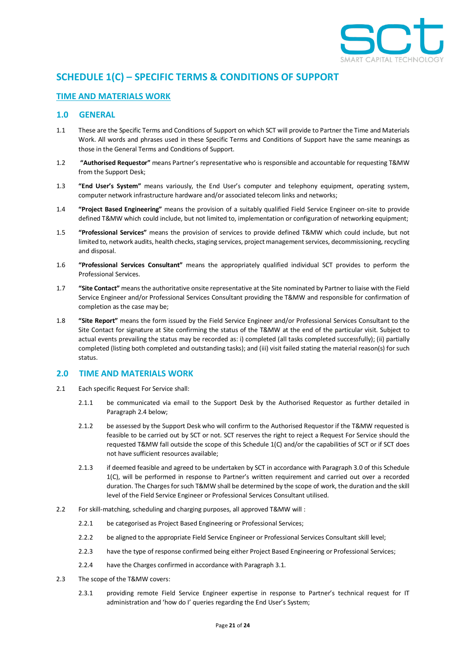

# **SCHEDULE 1(C) – SPECIFIC TERMS & CONDITIONS OF SUPPORT**

# **TIME AND MATERIALS WORK**

# **1.0 GENERAL**

- 1.1 These are the Specific Terms and Conditions of Support on which SCT will provide to Partner the Time and Materials Work. All words and phrases used in these Specific Terms and Conditions of Support have the same meanings as those in the General Terms and Conditions of Support.
- 1.2 **"Authorised Requestor"** means Partner's representative who is responsible and accountable for requesting T&MW from the Support Desk;
- 1.3 **"End User's System"** means variously, the End User's computer and telephony equipment, operating system, computer network infrastructure hardware and/or associated telecom links and networks;
- 1.4 **"Project Based Engineering"** means the provision of a suitably qualified Field Service Engineer on-site to provide defined T&MW which could include, but not limited to, implementation or configuration of networking equipment;
- 1.5 **"Professional Services"** means the provision of services to provide defined T&MW which could include, but not limited to, network audits, health checks, staging services, project management services, decommissioning, recycling and disposal.
- 1.6 **"Professional Services Consultant"** means the appropriately qualified individual SCT provides to perform the Professional Services.
- 1.7 **"Site Contact"** means the authoritative onsite representative at the Site nominated by Partner to liaise with the Field Service Engineer and/or Professional Services Consultant providing the T&MW and responsible for confirmation of completion as the case may be;
- 1.8 **"Site Report"** means the form issued by the Field Service Engineer and/or Professional Services Consultant to the Site Contact for signature at Site confirming the status of the T&MW at the end of the particular visit. Subject to actual events prevailing the status may be recorded as: i) completed (all tasks completed successfully); (ii) partially completed (listing both completed and outstanding tasks); and (iii) visit failed stating the material reason(s) for such status.

#### **2.0 TIME AND MATERIALS WORK**

- 2.1 Each specific Request For Service shall:
	- 2.1.1 be communicated via email to the Support Desk by the Authorised Requestor as further detailed in Paragraph [2.4](#page-21-0) below;
	- 2.1.2 be assessed by the Support Desk who will confirm to the Authorised Requestor if the T&MW requested is feasible to be carried out by SCT or not. SCT reserves the right to reject a Request For Service should the requested T&MW fall outside the scope of this Schedule 1(C) and/or the capabilities of SCT or if SCT does not have sufficient resources available;
	- 2.1.3 if deemed feasible and agreed to be undertaken by SCT in accordance with Paragrap[h 3.0](#page-21-1) of this Schedule 1(C), will be performed in response to Partner's written requirement and carried out over a recorded duration. The Charges for such T&MW shall be determined by the scope of work, the duration and the skill level of the Field Service Engineer or Professional Services Consultant utilised.
- 2.2 For skill-matching, scheduling and charging purposes, all approved T&MW will :
	- 2.2.1 be categorised as Project Based Engineering or Professional Services;
	- 2.2.2 be aligned to the appropriate Field Service Engineer or Professional Services Consultant skill level;
	- 2.2.3 have the type of response confirmed being either Project Based Engineering or Professional Services;
	- 2.2.4 have the Charges confirmed in accordance with Paragraph [3.1.](#page-21-2)
- 2.3 The scope of the T&MW covers:
	- 2.3.1 providing remote Field Service Engineer expertise in response to Partner's technical request for IT administration and 'how do I' queries regarding the End User's System;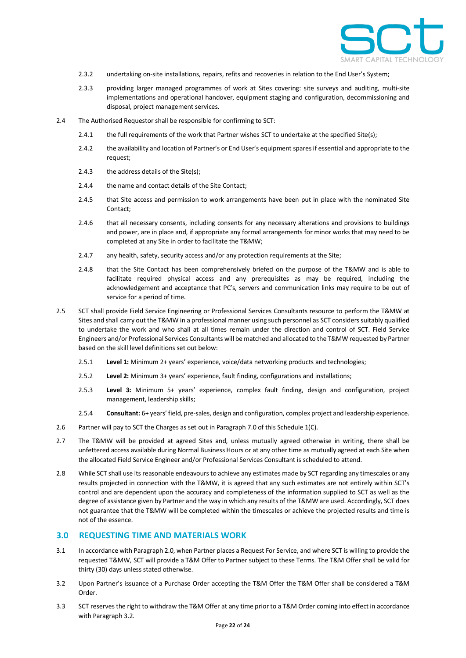

- 2.3.2 undertaking on-site installations, repairs, refits and recoveries in relation to the End User's System;
- 2.3.3 providing larger managed programmes of work at Sites covering: site surveys and auditing, multi-site implementations and operational handover, equipment staging and configuration, decommissioning and disposal, project management services.
- <span id="page-21-0"></span>2.4 The Authorised Requestor shall be responsible for confirming to SCT:
	- 2.4.1 the full requirements of the work that Partner wishes SCT to undertake at the specified Site(s);
	- 2.4.2 the availability and location of Partner's or End User's equipment spares if essential and appropriate to the request;
	- 2.4.3 the address details of the Site(s);
	- 2.4.4 the name and contact details of the Site Contact;
	- 2.4.5 that Site access and permission to work arrangements have been put in place with the nominated Site Contact;
	- 2.4.6 that all necessary consents, including consents for any necessary alterations and provisions to buildings and power, are in place and, if appropriate any formal arrangements for minor works that may need to be completed at any Site in order to facilitate the T&MW;
	- 2.4.7 any health, safety, security access and/or any protection requirements at the Site;
	- 2.4.8 that the Site Contact has been comprehensively briefed on the purpose of the T&MW and is able to facilitate required physical access and any prerequisites as may be required, including the acknowledgement and acceptance that PC's, servers and communication links may require to be out of service for a period of time.
- 2.5 SCT shall provide Field Service Engineering or Professional Services Consultants resource to perform the T&MW at Sites and shall carry out the T&MW in a professional manner using such personnel as SCT considers suitably qualified to undertake the work and who shall at all times remain under the direction and control of SCT. Field Service Engineers and/or Professional Services Consultants will be matched and allocated to the T&MW requested by Partner based on the skill level definitions set out below:
	- 2.5.1 **Level 1:** Minimum 2+ years' experience, voice/data networking products and technologies;
	- 2.5.2 **Level 2:** Minimum 3+ years' experience, fault finding, configurations and installations;
	- 2.5.3 **Level 3:** Minimum 5+ years' experience, complex fault finding, design and configuration, project management, leadership skills;
	- 2.5.4 **Consultant:** 6+ years' field, pre-sales, design and configuration, complex project and leadership experience.
- 2.6 Partner will pay to SCT the Charges as set out in Paragrap[h 7.0](#page-23-0) of this Schedule 1(C).
- 2.7 The T&MW will be provided at agreed Sites and, unless mutually agreed otherwise in writing, there shall be unfettered access available during Normal Business Hours or at any other time as mutually agreed at each Site when the allocated Field Service Engineer and/or Professional Services Consultant is scheduled to attend.
- 2.8 While SCT shall use its reasonable endeavours to achieve any estimates made by SCT regarding any timescales or any results projected in connection with the T&MW, it is agreed that any such estimates are not entirely within SCT's control and are dependent upon the accuracy and completeness of the information supplied to SCT as well as the degree of assistance given by Partner and the way in which any results of the T&MW are used. Accordingly, SCT does not guarantee that the T&MW will be completed within the timescales or achieve the projected results and time is not of the essence.

# <span id="page-21-1"></span>**3.0 REQUESTING TIME AND MATERIALS WORK**

- <span id="page-21-2"></span>3.1 In accordance with Paragrap[h 2.0,](#page-15-1) when Partner places a Request For Service, and where SCT is willing to provide the requested T&MW, SCT will provide a T&M Offer to Partner subject to these Terms. The T&M Offer shall be valid for thirty (30) days unless stated otherwise.
- <span id="page-21-3"></span>3.2 Upon Partner's issuance of a Purchase Order accepting the T&M Offer the T&M Offer shall be considered a T&M Order.
- 3.3 SCT reserves the right to withdraw the T&M Offer at any time prior to a T&M Order coming into effect in accordance with Paragrap[h 3.2.](#page-21-3)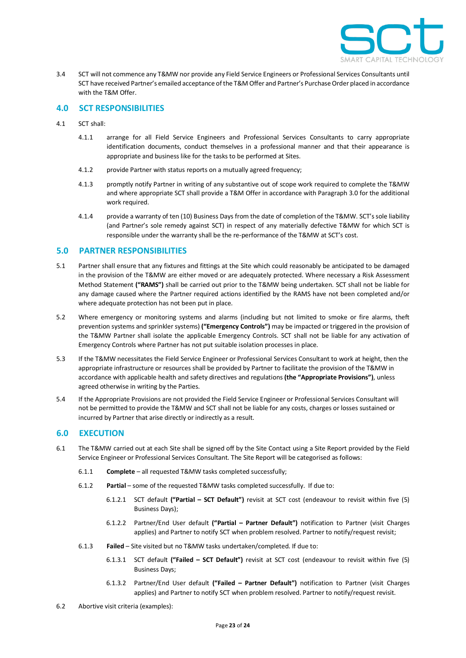

3.4 SCT will not commence any T&MW nor provide any Field Service Engineers or Professional Services Consultants until SCT have received Partner's emailed acceptance of the T&M Offer and Partner's Purchase Order placed in accordance with the T&M Offer.

# **4.0 SCT RESPONSIBILITIES**

- 4.1 SCT shall:
	- 4.1.1 arrange for all Field Service Engineers and Professional Services Consultants to carry appropriate identification documents, conduct themselves in a professional manner and that their appearance is appropriate and business like for the tasks to be performed at Sites.
	- 4.1.2 provide Partner with status reports on a mutually agreed frequency;
	- 4.1.3 promptly notify Partner in writing of any substantive out of scope work required to complete the T&MW and where appropriate SCT shall provide a T&M Offer in accordance with Paragraph [3.0](#page-21-1) for the additional work required.
	- 4.1.4 provide a warranty of ten (10) Business Days from the date of completion of the T&MW. SCT's sole liability (and Partner's sole remedy against SCT) in respect of any materially defective T&MW for which SCT is responsible under the warranty shall be the re-performance of the T&MW at SCT's cost.

## **5.0 PARTNER RESPONSIBILITIES**

- <span id="page-22-0"></span>5.1 Partner shall ensure that any fixtures and fittings at the Site which could reasonably be anticipated to be damaged in the provision of the T&MW are either moved or are adequately protected. Where necessary a Risk Assessment Method Statement **("RAMS")** shall be carried out prior to the T&MW being undertaken. SCT shall not be liable for any damage caused where the Partner required actions identified by the RAMS have not been completed and/or where adequate protection has not been put in place.
- 5.2 Where emergency or monitoring systems and alarms (including but not limited to smoke or fire alarms, theft prevention systems and sprinkler systems) **("Emergency Controls")** may be impacted or triggered in the provision of the T&MW Partner shall isolate the applicable Emergency Controls. SCT shall not be liable for any activation of Emergency Controls where Partner has not put suitable isolation processes in place.
- 5.3 If the T&MW necessitates the Field Service Engineer or Professional Services Consultant to work at height, then the appropriate infrastructure or resources shall be provided by Partner to facilitate the provision of the T&MW in accordance with applicable health and safety directives and regulations **(the "Appropriate Provisions")**, unless agreed otherwise in writing by the Parties.
- 5.4 If the Appropriate Provisions are not provided the Field Service Engineer or Professional Services Consultant will not be permitted to provide the T&MW and SCT shall not be liable for any costs, charges or losses sustained or incurred by Partner that arise directly or indirectly as a result.

# **6.0 EXECUTION**

- 6.1 The T&MW carried out at each Site shall be signed off by the Site Contact using a Site Report provided by the Field Service Engineer or Professional Services Consultant. The Site Report will be categorised as follows:
	- 6.1.1 **Complete**  all requested T&MW tasks completed successfully;
	- 6.1.2 **Partial**  some of the requested T&MW tasks completed successfully. If due to:
		- 6.1.2.1 SCT default **("Partial – SCT Default")** revisit at SCT cost (endeavour to revisit within five (5) Business Days);
		- 6.1.2.2 Partner/End User default **("Partial – Partner Default")** notification to Partner (visit Charges applies) and Partner to notify SCT when problem resolved. Partner to notify/request revisit;
	- 6.1.3 **Failed** Site visited but no T&MW tasks undertaken/completed. If due to:
		- 6.1.3.1 SCT default **("Failed – SCT Default")** revisit at SCT cost (endeavour to revisit within five (5) Business Days;
		- 6.1.3.2 Partner/End User default **("Failed – Partner Default")** notification to Partner (visit Charges applies) and Partner to notify SCT when problem resolved. Partner to notify/request revisit.
- 6.2 Abortive visit criteria (examples):